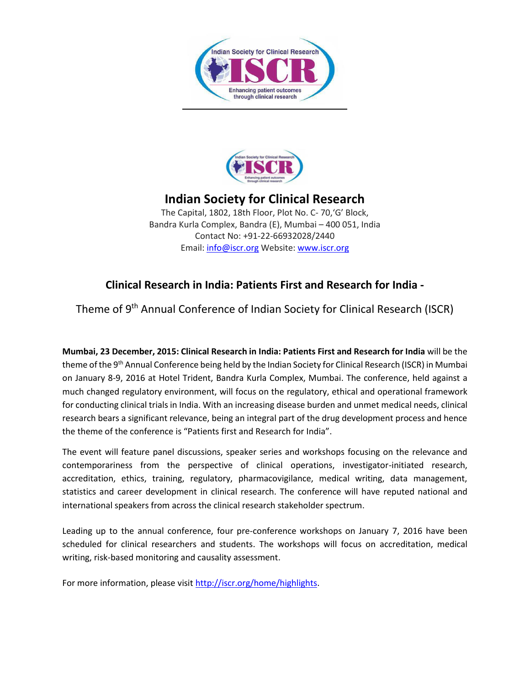



## **Indian Society for Clinical Research**

The Capital, 1802, 18th Floor, Plot No. C- 70,'G' Block, Bandra Kurla Complex, Bandra (E), Mumbai – 400 051, India Contact No: +91-22-66932028/2440 Email[: info@iscr.org](mailto:info@iscr.org) Website: [www.iscr.org](http://www.iscr.org/)

## **Clinical Research in India: Patients First and Research for India -**

Theme of 9<sup>th</sup> Annual Conference of Indian Society for Clinical Research (ISCR)

**Mumbai, 23 December, 2015: Clinical Research in India: Patients First and Research for India** will be the theme of the 9<sup>th</sup> Annual Conference being held by the Indian Society for Clinical Research (ISCR) in Mumbai on January 8-9, 2016 at Hotel Trident, Bandra Kurla Complex, Mumbai. The conference, held against a much changed regulatory environment, will focus on the regulatory, ethical and operational framework for conducting clinical trials in India. With an increasing disease burden and unmet medical needs, clinical research bears a significant relevance, being an integral part of the drug development process and hence the theme of the conference is "Patients first and Research for India".

The event will feature panel discussions, speaker series and workshops focusing on the relevance and contemporariness from the perspective of clinical operations, investigator-initiated research, accreditation, ethics, training, regulatory, pharmacovigilance, medical writing, data management, statistics and career development in clinical research. The conference will have reputed national and international speakers from across the clinical research stakeholder spectrum.

Leading up to the annual conference, four pre-conference workshops on January 7, 2016 have been scheduled for clinical researchers and students. The workshops will focus on accreditation, medical writing, risk-based monitoring and causality assessment.

For more information, please visi[t http://iscr.org/home/highlights.](http://iscr.org/home/highlights)